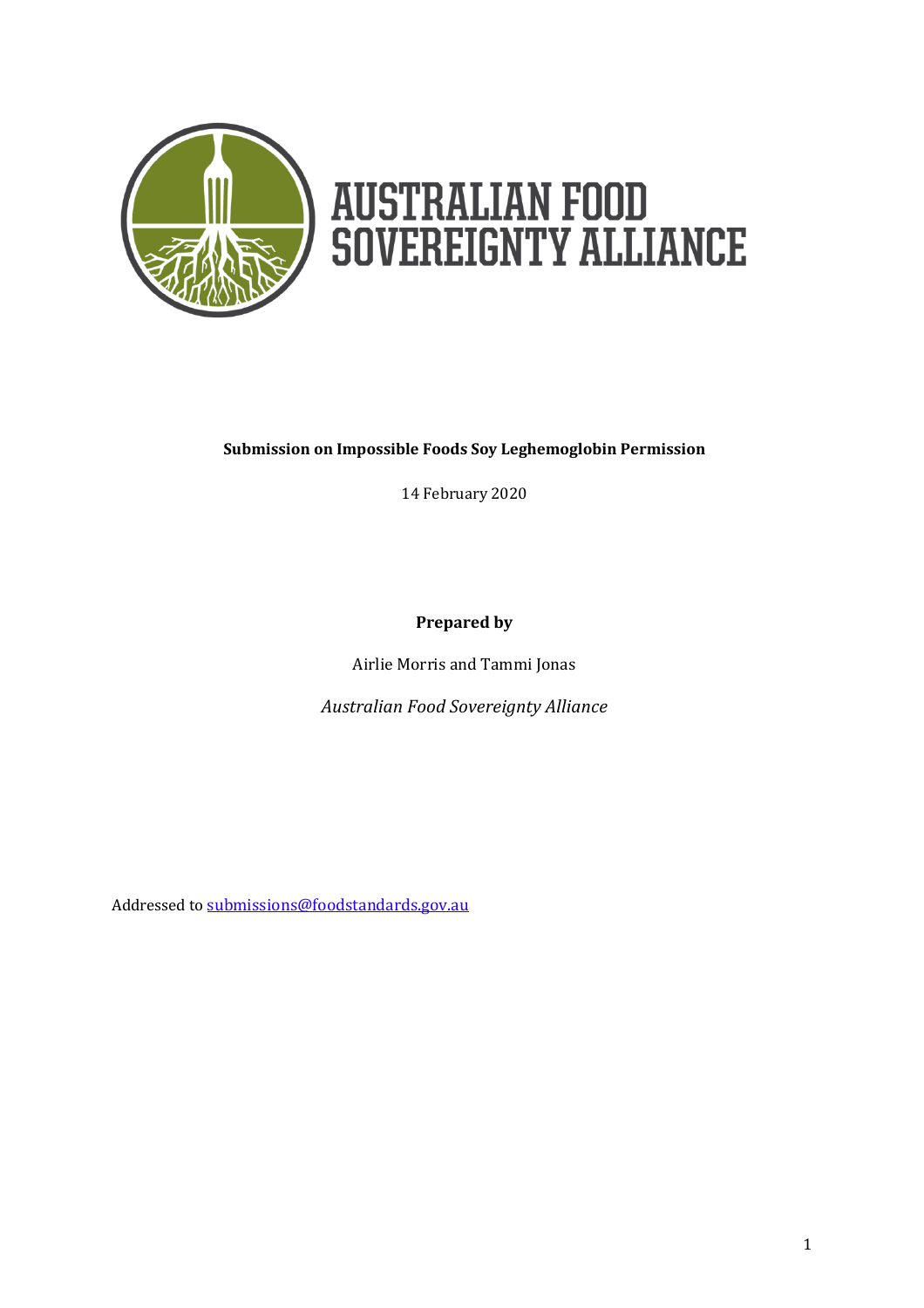

# **AUSTRALIAN FOOD<br>SOVEREIGNTY ALLIANCE**

#### **Submission on Impossible Foods Soy Leghemoglobin Permission**

14 February 2020

**Prepared by**

Airlie Morris and Tammi Jonas

*Australian Food Sovereignty Alliance*

Addressed to [submissions@foodstandards.gov.au](mailto:submissions@foodstandards.gov.au)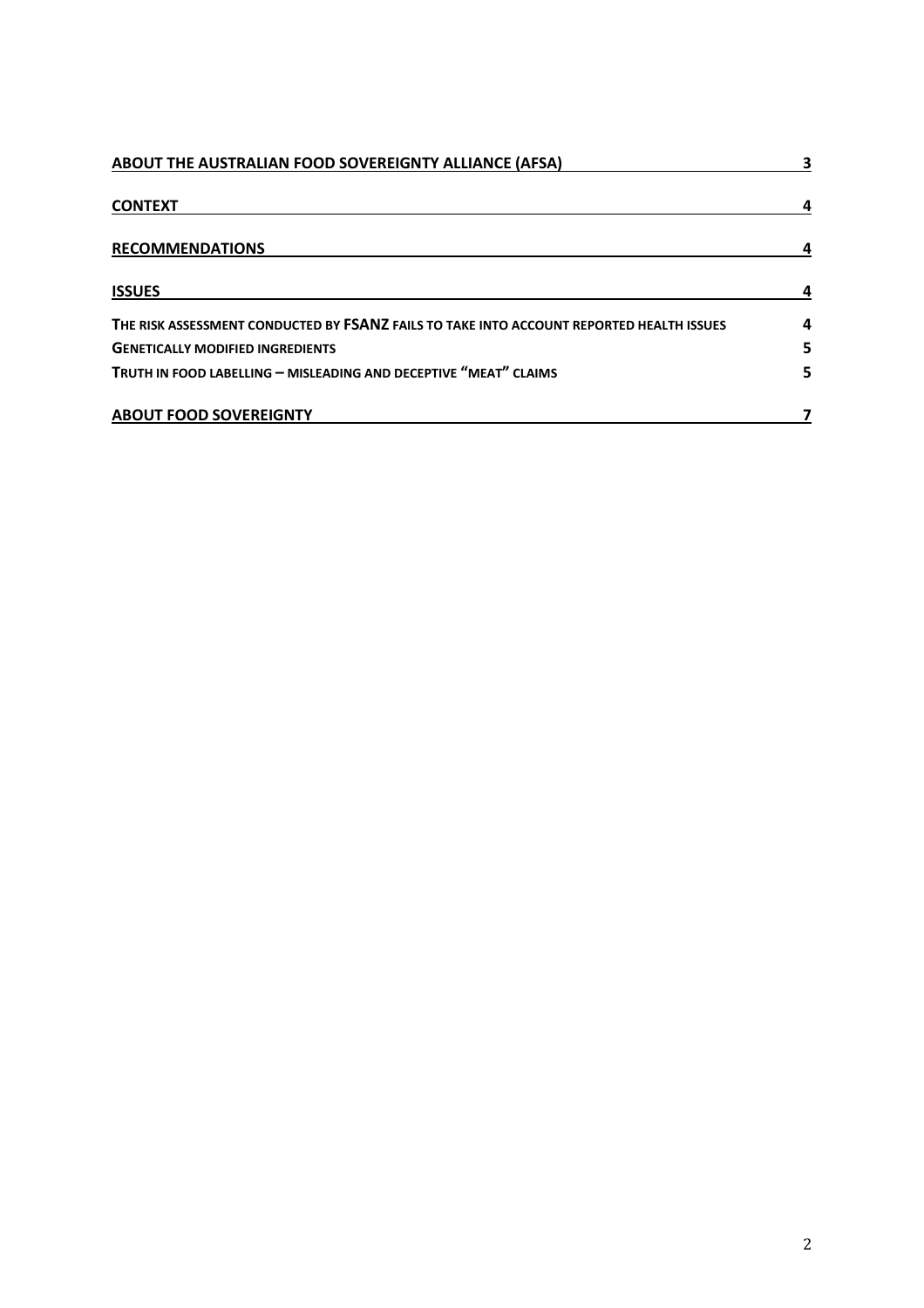| ABOUT THE AUSTRALIAN FOOD SOVEREIGNTY ALLIANCE (AFSA)                                    | 3 |
|------------------------------------------------------------------------------------------|---|
| <b>CONTEXT</b>                                                                           | 4 |
| <b>RECOMMENDATIONS</b>                                                                   | 4 |
| <b>ISSUES</b>                                                                            |   |
| THE RISK ASSESSMENT CONDUCTED BY FSANZ FAILS TO TAKE INTO ACCOUNT REPORTED HEALTH ISSUES | 4 |
| <b>GENETICALLY MODIFIED INGREDIENTS</b>                                                  | 5 |
| TRUTH IN FOOD LABELLING - MISLEADING AND DECEPTIVE "MEAT" CLAIMS                         | 5 |
| <b>ABOUT FOOD SOVEREIGNTY</b>                                                            |   |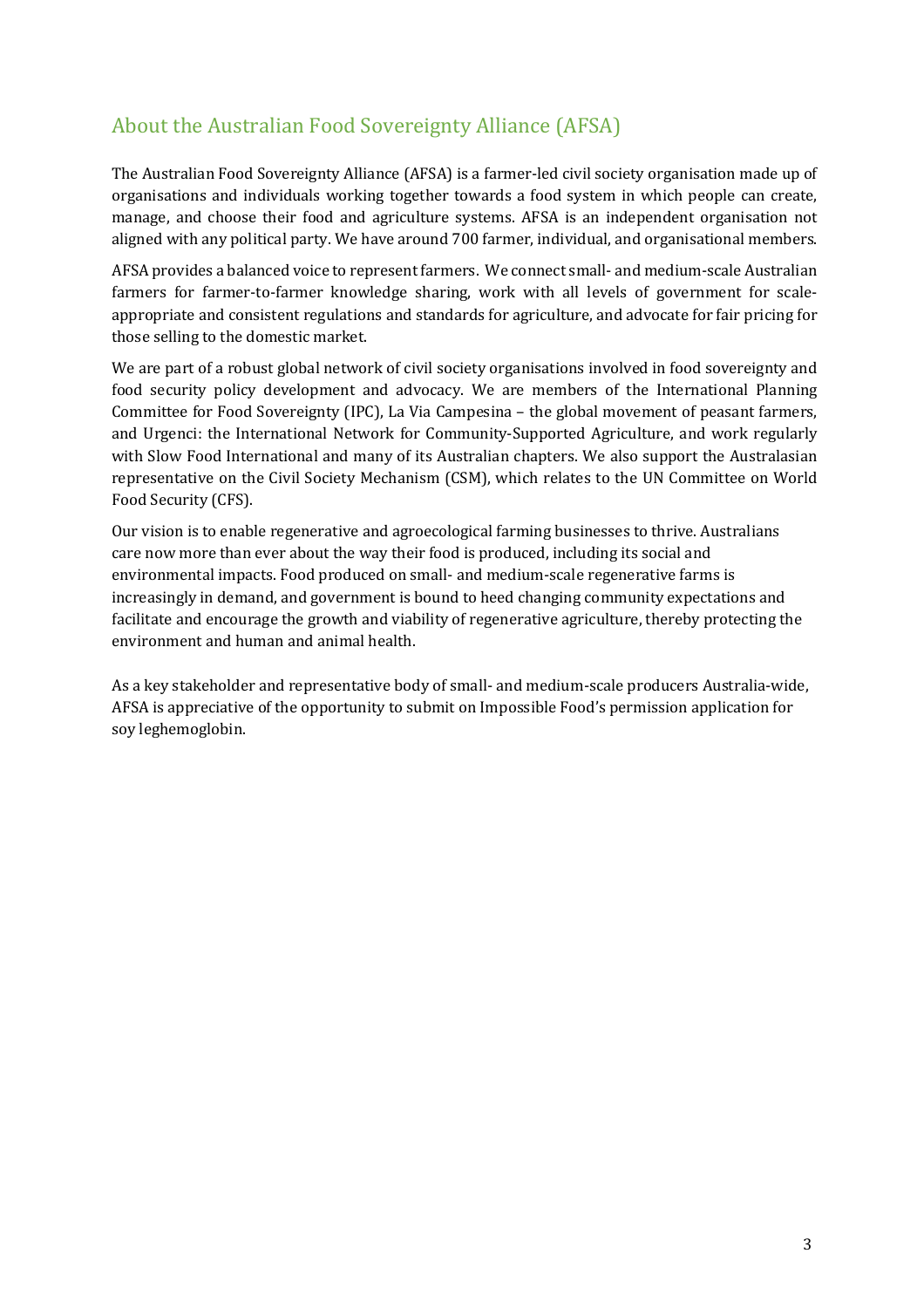# About the Australian Food Sovereignty Alliance (AFSA)

The Australian Food Sovereignty Alliance (AFSA) is a farmer-led civil society organisation made up of organisations and individuals working together towards a food system in which people can create, manage, and choose their food and agriculture systems. AFSA is an independent organisation not aligned with any political party. We have around 700 farmer, individual, and organisational members.

AFSA provides a balanced voice to represent farmers. We connect small- and medium-scale Australian farmers for farmer-to-farmer knowledge sharing, work with all levels of government for scaleappropriate and consistent regulations and standards for agriculture, and advocate for fair pricing for those selling to the domestic market.

We are part of a robust global network of civil society organisations involved in food sovereignty and food security policy development and advocacy. We are members of the International Planning Committee for Food Sovereignty (IPC), La Via Campesina – the global movement of peasant farmers, and Urgenci: the International Network for Community-Supported Agriculture, and work regularly with Slow Food International and many of its Australian chapters. We also support the Australasian representative on the Civil Society Mechanism (CSM), which relates to the UN Committee on World Food Security (CFS).

Our vision is to enable regenerative and agroecological farming businesses to thrive. Australians care now more than ever about the way their food is produced, including its social and environmental impacts. Food produced on small- and medium-scale regenerative farms is increasingly in demand, and government is bound to heed changing community expectations and facilitate and encourage the growth and viability of regenerative agriculture, thereby protecting the environment and human and animal health.

As a key stakeholder and representative body of small- and medium-scale producers Australia-wide, AFSA is appreciative of the opportunity to submit on Impossible Food's permission application for soy leghemoglobin.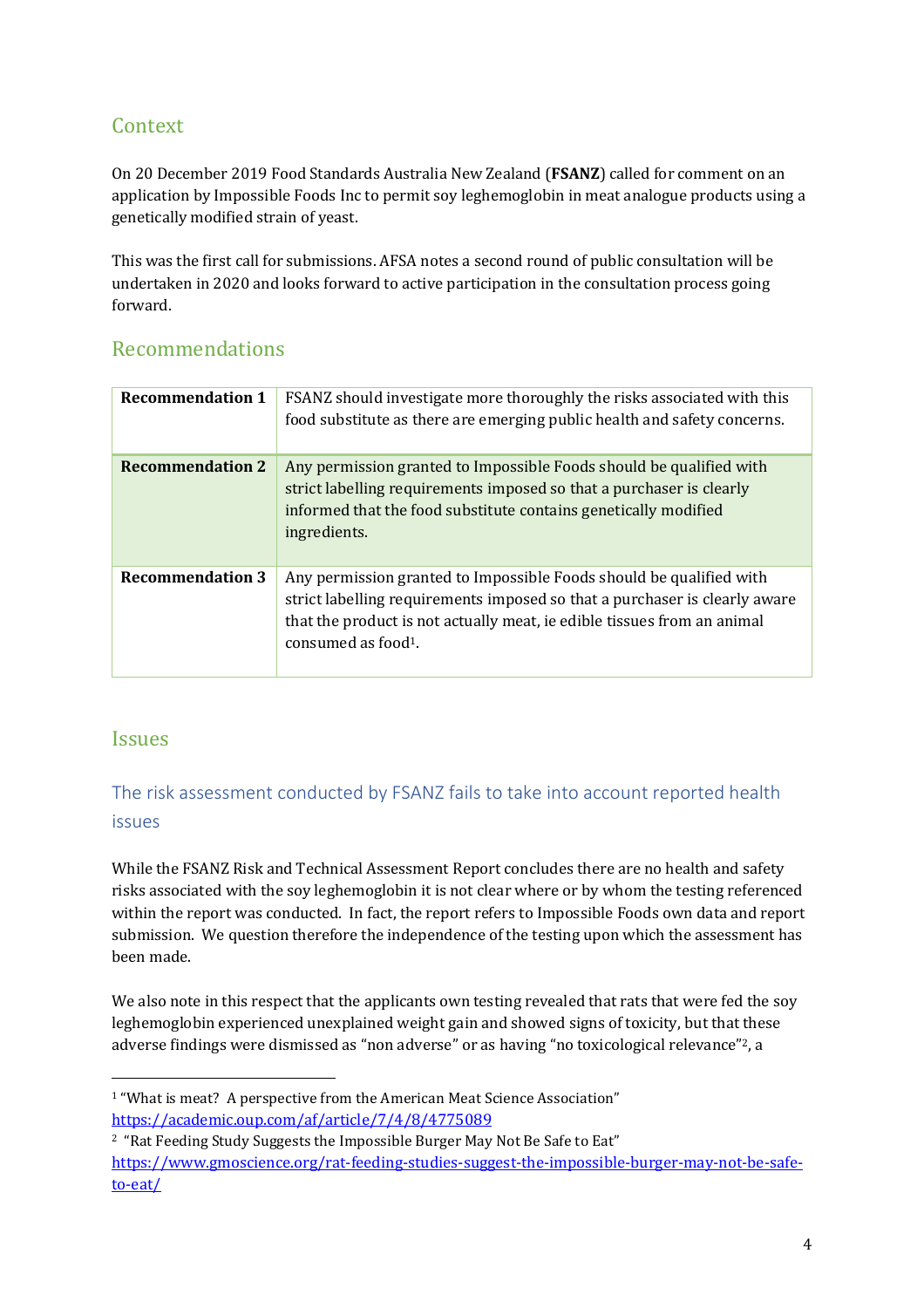# Context

On 20 December 2019 Food Standards Australia New Zealand (**FSANZ**) called for comment on an application by Impossible Foods Inc to permit soy leghemoglobin in meat analogue products using a genetically modified strain of yeast.

This was the first call for submissions. AFSA notes a second round of public consultation will be undertaken in 2020 and looks forward to active participation in the consultation process going forward.

## Recommendations

| <b>Recommendation 1</b> | FSANZ should investigate more thoroughly the risks associated with this<br>food substitute as there are emerging public health and safety concerns.                                                                                                             |
|-------------------------|-----------------------------------------------------------------------------------------------------------------------------------------------------------------------------------------------------------------------------------------------------------------|
| <b>Recommendation 2</b> | Any permission granted to Impossible Foods should be qualified with<br>strict labelling requirements imposed so that a purchaser is clearly<br>informed that the food substitute contains genetically modified<br>ingredients.                                  |
| <b>Recommendation 3</b> | Any permission granted to Impossible Foods should be qualified with<br>strict labelling requirements imposed so that a purchaser is clearly aware<br>that the product is not actually meat, ie edible tissues from an animal<br>consumed as food <sup>1</sup> . |

## Issues

l

## The risk assessment conducted by FSANZ fails to take into account reported health issues

While the FSANZ Risk and Technical Assessment Report concludes there are no health and safety risks associated with the soy leghemoglobin it is not clear where or by whom the testing referenced within the report was conducted. In fact, the report refers to Impossible Foods own data and report submission. We question therefore the independence of the testing upon which the assessment has been made.

We also note in this respect that the applicants own testing revealed that rats that were fed the soy leghemoglobin experienced unexplained weight gain and showed signs of toxicity, but that these adverse findings were dismissed as "non adverse" or as having "no toxicological relevance"<sup>2</sup>, a

<sup>&</sup>lt;sup>1</sup> "What is meat? A perspective from the American Meat Science Association" <https://academic.oup.com/af/article/7/4/8/4775089>

<sup>2</sup> "Rat Feeding Study Suggests the Impossible Burger May Not Be Safe to Eat" [https://www.gmoscience.org/rat-feeding-studies-suggest-the-impossible-burger-may-not-be-safe](https://www.gmoscience.org/rat-feeding-studies-suggest-the-impossible-burger-may-not-be-safe-to-eat/)[to-eat/](https://www.gmoscience.org/rat-feeding-studies-suggest-the-impossible-burger-may-not-be-safe-to-eat/)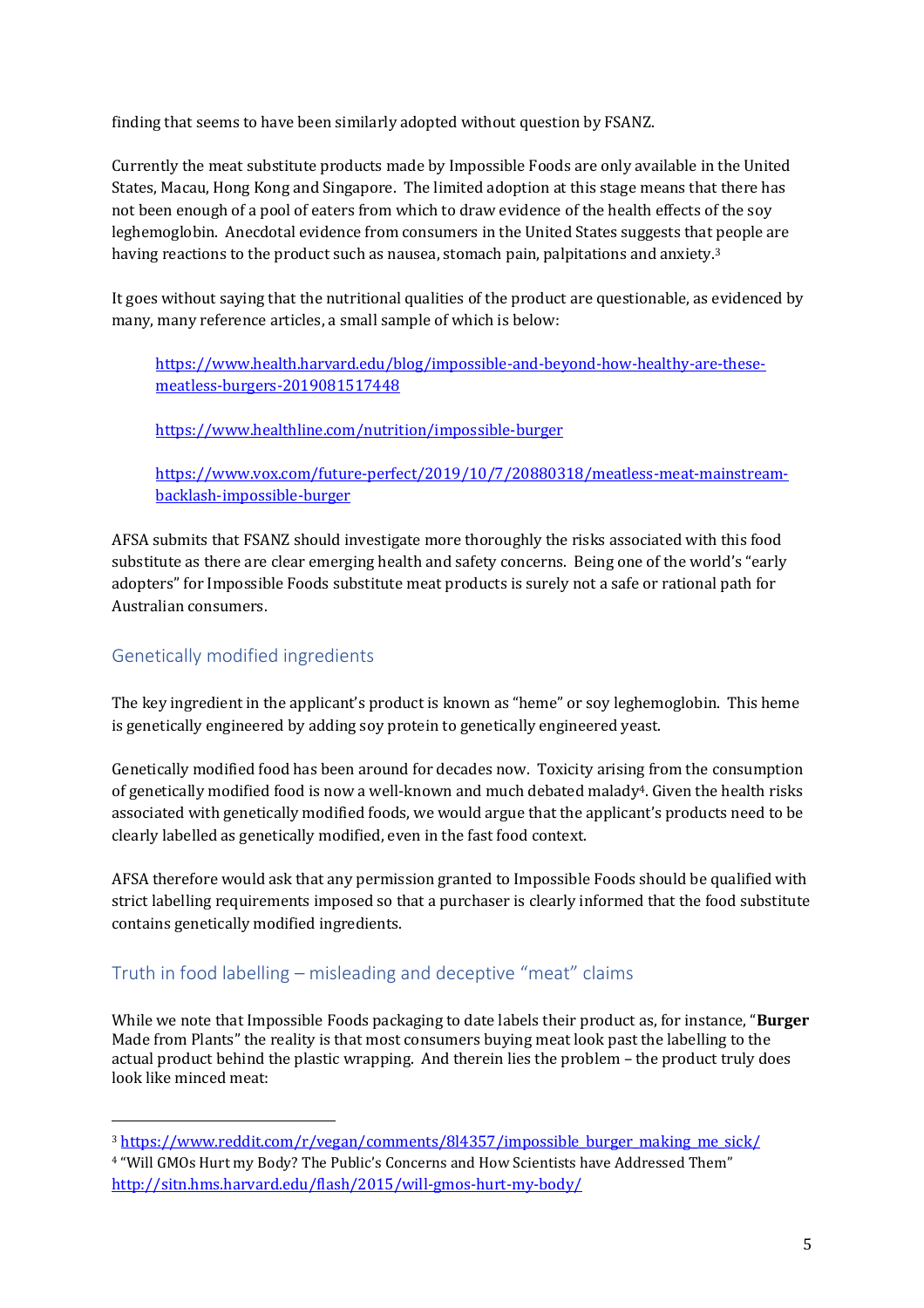finding that seems to have been similarly adopted without question by FSANZ.

Currently the meat substitute products made by Impossible Foods are only available in the United States, Macau, Hong Kong and Singapore. The limited adoption at this stage means that there has not been enough of a pool of eaters from which to draw evidence of the health effects of the soy leghemoglobin. Anecdotal evidence from consumers in the United States suggests that people are having reactions to the product such as nausea, stomach pain, palpitations and anxiety.<sup>3</sup>

It goes without saying that the nutritional qualities of the product are questionable, as evidenced by many, many reference articles, a small sample of which is below:

[https://www.health.harvard.edu/blog/impossible-and-beyond-how-healthy-are-these](https://www.health.harvard.edu/blog/impossible-and-beyond-how-healthy-are-these-meatless-burgers-2019081517448)[meatless-burgers-2019081517448](https://www.health.harvard.edu/blog/impossible-and-beyond-how-healthy-are-these-meatless-burgers-2019081517448)

<https://www.healthline.com/nutrition/impossible-burger>

[https://www.vox.com/future-perfect/2019/10/7/20880318/meatless-meat-mainstream](https://www.vox.com/future-perfect/2019/10/7/20880318/meatless-meat-mainstream-backlash-impossible-burger)[backlash-impossible-burger](https://www.vox.com/future-perfect/2019/10/7/20880318/meatless-meat-mainstream-backlash-impossible-burger)

AFSA submits that FSANZ should investigate more thoroughly the risks associated with this food substitute as there are clear emerging health and safety concerns. Being one of the world's "early adopters" for Impossible Foods substitute meat products is surely not a safe or rational path for Australian consumers.

#### Genetically modified ingredients

 $\overline{a}$ 

The key ingredient in the applicant's product is known as "heme" or soy leghemoglobin. This heme is genetically engineered by adding soy protein to genetically engineered yeast.

Genetically modified food has been around for decades now. Toxicity arising from the consumption of genetically modified food is now a well-known and much debated malady<sup>4</sup>. Given the health risks associated with genetically modified foods, we would argue that the applicant's products need to be clearly labelled as genetically modified, even in the fast food context.

AFSA therefore would ask that any permission granted to Impossible Foods should be qualified with strict labelling requirements imposed so that a purchaser is clearly informed that the food substitute contains genetically modified ingredients.

#### Truth in food labelling – misleading and deceptive "meat" claims

While we note that Impossible Foods packaging to date labels their product as, for instance, "**Burger** Made from Plants" the reality is that most consumers buying meat look past the labelling to the actual product behind the plastic wrapping. And therein lies the problem – the product truly does look like minced meat:

<sup>3</sup> [https://www.reddit.com/r/vegan/comments/8l4357/impossible\\_burger\\_making\\_me\\_sick/](https://www.reddit.com/r/vegan/comments/8l4357/impossible_burger_making_me_sick/)

<sup>4</sup> "Will GMOs Hurt my Body? The Public's Concerns and How Scientists have Addressed Them" <http://sitn.hms.harvard.edu/flash/2015/will-gmos-hurt-my-body/>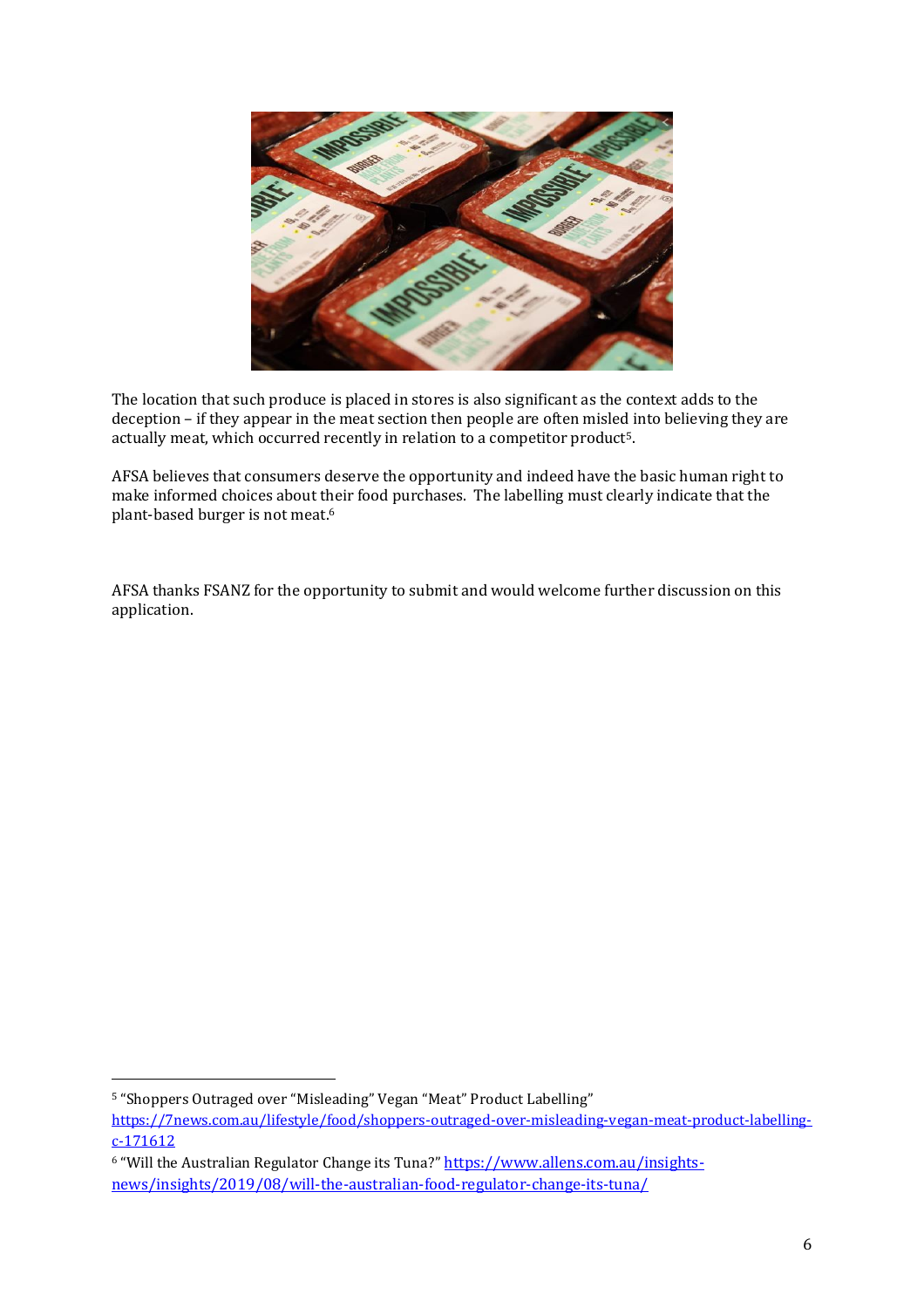

The location that such produce is placed in stores is also significant as the context adds to the deception – if they appear in the meat section then people are often misled into believing they are actually meat, which occurred recently in relation to a competitor product5.

AFSA believes that consumers deserve the opportunity and indeed have the basic human right to make informed choices about their food purchases. The labelling must clearly indicate that the plant-based burger is not meat.<sup>6</sup>

AFSA thanks FSANZ for the opportunity to submit and would welcome further discussion on this application.

<sup>5</sup> "Shoppers Outraged over "Misleading" Vegan "Meat" Product Labelling"

l

[https://7news.com.au/lifestyle/food/shoppers-outraged-over-misleading-vegan-meat-product-labelling](https://7news.com.au/lifestyle/food/shoppers-outraged-over-misleading-vegan-meat-product-labelling-c-171612)[c-171612](https://7news.com.au/lifestyle/food/shoppers-outraged-over-misleading-vegan-meat-product-labelling-c-171612)

<sup>6</sup> "Will the Australian Regulator Change its Tuna?" [https://www.allens.com.au/insights](https://www.allens.com.au/insights-news/insights/2019/08/will-the-australian-food-regulator-change-its-tuna/)[news/insights/2019/08/will-the-australian-food-regulator-change-its-tuna/](https://www.allens.com.au/insights-news/insights/2019/08/will-the-australian-food-regulator-change-its-tuna/)